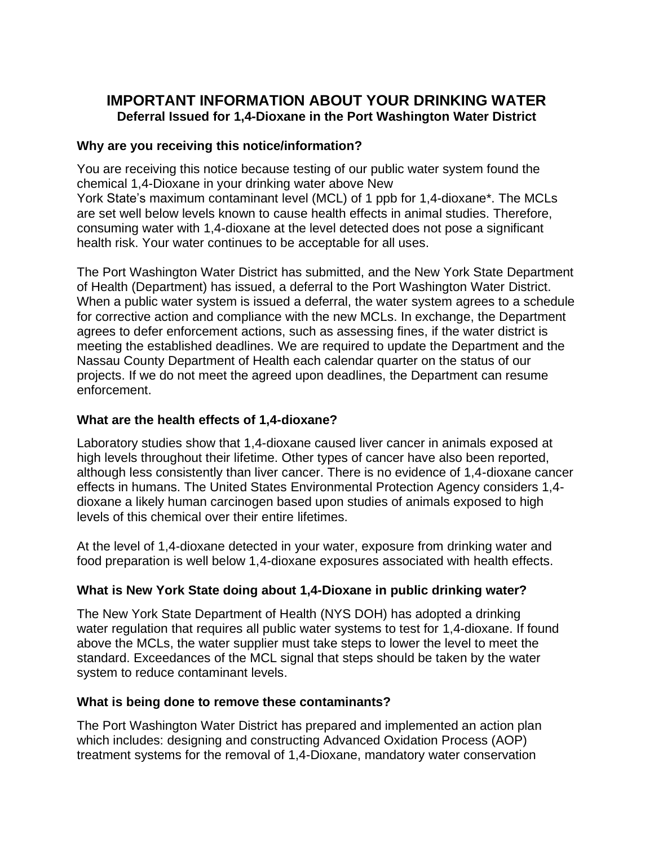# **IMPORTANT INFORMATION ABOUT YOUR DRINKING WATER Deferral Issued for 1,4-Dioxane in the Port Washington Water District**

## **Why are you receiving this notice/information?**

You are receiving this notice because testing of our public water system found the chemical 1,4-Dioxane in your drinking water above New York State's maximum contaminant level (MCL) of 1 ppb for 1,4-dioxane\*. The MCLs are set well below levels known to cause health effects in animal studies. Therefore, consuming water with 1,4-dioxane at the level detected does not pose a significant health risk. Your water continues to be acceptable for all uses.

The Port Washington Water District has submitted, and the New York State Department of Health (Department) has issued, a deferral to the Port Washington Water District. When a public water system is issued a deferral, the water system agrees to a schedule for corrective action and compliance with the new MCLs. In exchange, the Department agrees to defer enforcement actions, such as assessing fines, if the water district is meeting the established deadlines. We are required to update the Department and the Nassau County Department of Health each calendar quarter on the status of our projects. If we do not meet the agreed upon deadlines, the Department can resume enforcement.

## **What are the health effects of 1,4-dioxane?**

Laboratory studies show that 1,4-dioxane caused liver cancer in animals exposed at high levels throughout their lifetime. Other types of cancer have also been reported, although less consistently than liver cancer. There is no evidence of 1,4-dioxane cancer effects in humans. The United States Environmental Protection Agency considers 1,4 dioxane a likely human carcinogen based upon studies of animals exposed to high levels of this chemical over their entire lifetimes.

At the level of 1,4-dioxane detected in your water, exposure from drinking water and food preparation is well below 1,4-dioxane exposures associated with health effects.

# **What is New York State doing about 1,4-Dioxane in public drinking water?**

The New York State Department of Health (NYS DOH) has adopted a drinking water regulation that requires all public water systems to test for 1,4-dioxane. If found above the MCLs, the water supplier must take steps to lower the level to meet the standard. Exceedances of the MCL signal that steps should be taken by the water system to reduce contaminant levels.

### **What is being done to remove these contaminants?**

The Port Washington Water District has prepared and implemented an action plan which includes: designing and constructing Advanced Oxidation Process (AOP) treatment systems for the removal of 1,4-Dioxane, mandatory water conservation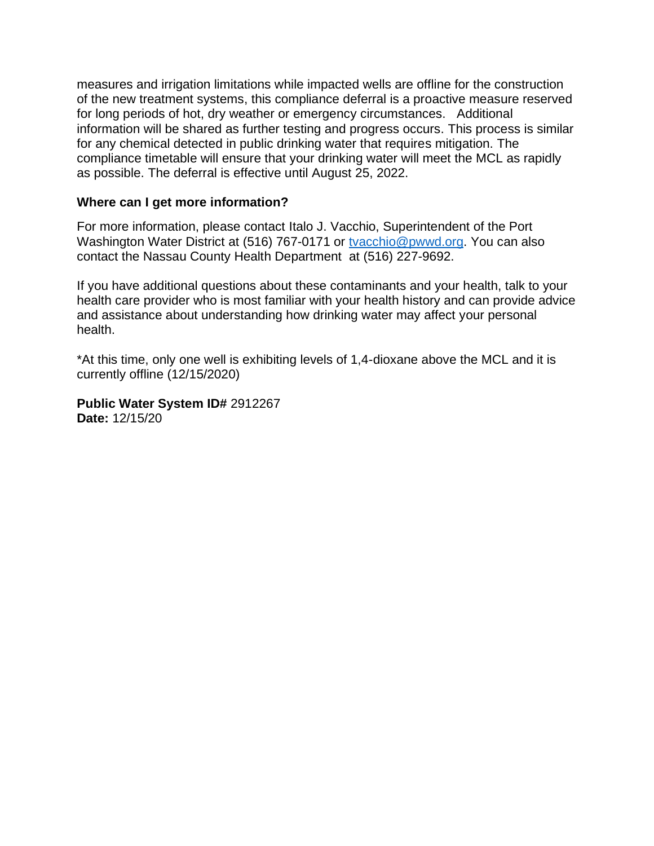measures and irrigation limitations while impacted wells are offline for the construction of the new treatment systems, this compliance deferral is a proactive measure reserved for long periods of hot, dry weather or emergency circumstances. Additional information will be shared as further testing and progress occurs. This process is similar for any chemical detected in public drinking water that requires mitigation. The compliance timetable will ensure that your drinking water will meet the MCL as rapidly as possible. The deferral is effective until August 25, 2022.

#### **Where can I get more information?**

For more information, please contact Italo J. Vacchio, Superintendent of the Port Washington Water District at (516) 767-0171 or [tvacchio@pwwd.org.](mailto:tvacchio@pwwd.org) You can also contact the Nassau County Health Department at (516) 227-9692.

If you have additional questions about these contaminants and your health, talk to your health care provider who is most familiar with your health history and can provide advice and assistance about understanding how drinking water may affect your personal health.

\*At this time, only one well is exhibiting levels of 1,4-dioxane above the MCL and it is currently offline (12/15/2020)

**Public Water System ID#** 2912267 **Date:** 12/15/20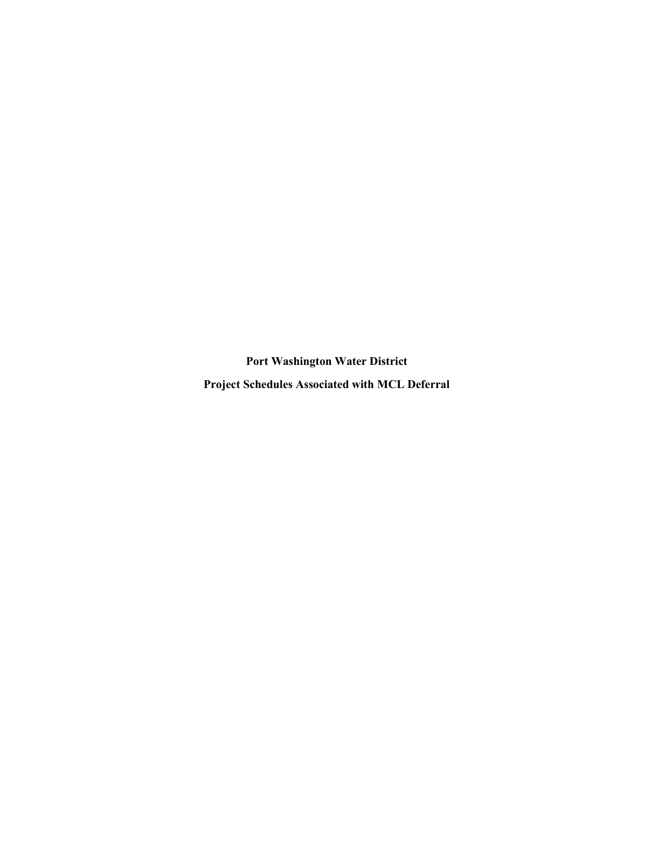Port Washington Water District Project Schedules Associated with MCL Deferral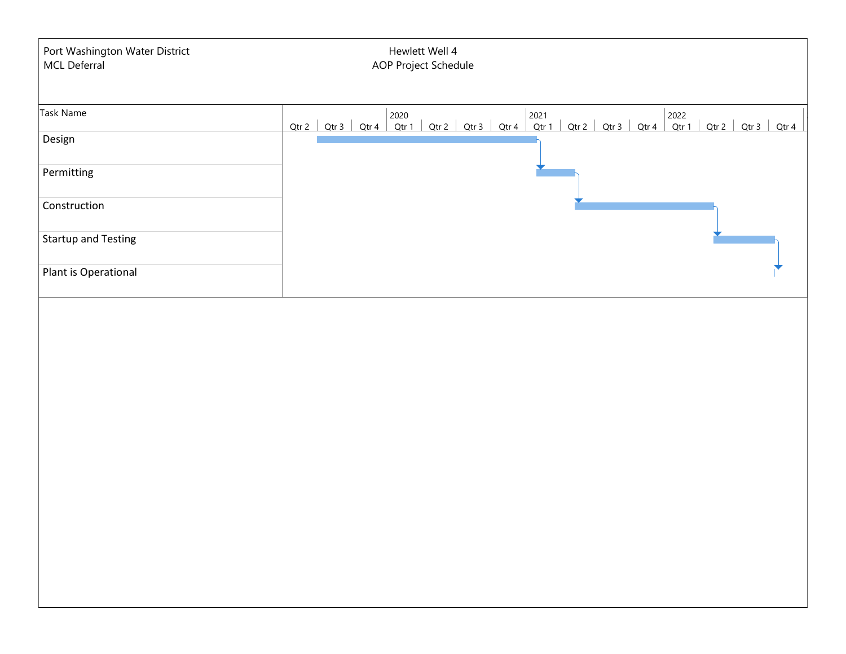| Port Washington Water District<br>MCL Deferral | Hewlett Well 4<br>AOP Project Schedule                                                                                                                                                                                                                                            |
|------------------------------------------------|-----------------------------------------------------------------------------------------------------------------------------------------------------------------------------------------------------------------------------------------------------------------------------------|
| Task Name                                      | $\begin{array}{ c c c c c c c c c } \hline \text{Qtr 2} & \text{2020} & \text{2021} \\ \hline \text{Qtr 3} & \text{Qtr 4} & \text{Qtr 1} & \text{Qtr 2} & \text{Qtr 3} & \text{Qtr 4} & \text{Qtr 1} \hline \end{array}$<br>Qtr 2   Qtr 3   Qtr 4   Qtr 1   Qtr 2   Qtr 3   Qtr 4 |
| Design                                         |                                                                                                                                                                                                                                                                                   |
| Permitting                                     |                                                                                                                                                                                                                                                                                   |
| Construction                                   |                                                                                                                                                                                                                                                                                   |
| <b>Startup and Testing</b>                     |                                                                                                                                                                                                                                                                                   |
| Plant is Operational                           |                                                                                                                                                                                                                                                                                   |
|                                                |                                                                                                                                                                                                                                                                                   |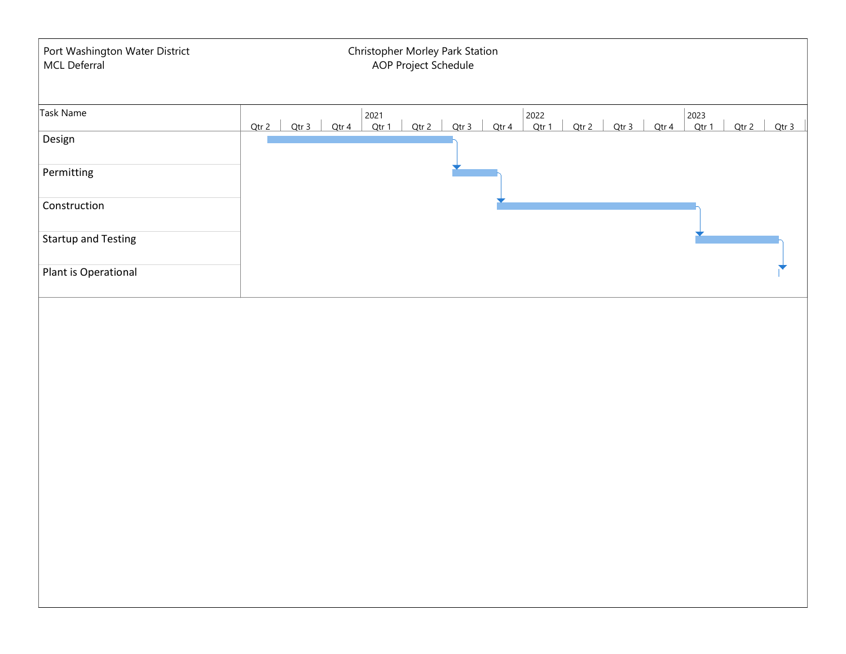